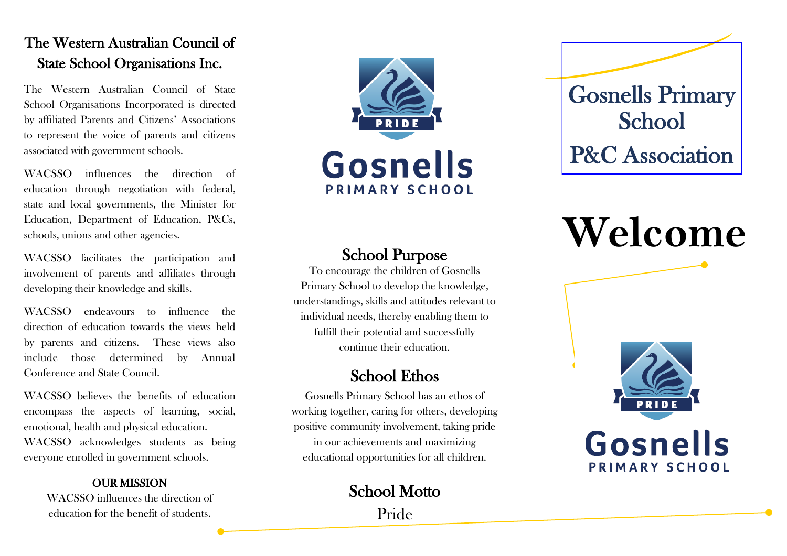## The Western Australian Council of State School Organisations Inc.

The Western Australian Council of State School Organisations Incorporated is directed by affiliated Parents and Citizens' Associations to represent the voice of parents and citizens associated with government schools.

WACSSO influences the direction of education through negotiation with federal, state and local governments, the Minister for Education, Department of Education, P&Cs, schools, unions and other agencies.

WACSSO facilitates the participation and involvement of parents and affiliates through developing their knowledge and skills.

WACSSO endeavours to influence the direction of education towards the views held by parents and citizens. These views also include those determined by Annual Conference and State Council.

WACSSO believes the benefits of education encompass the aspects of learning, social, emotional, health and physical education. WACSSO acknowledges students as being everyone enrolled in government schools.

#### **OUR MISSION**

WACSSO influences the direction of education for the benefit of students.



### School Purpose

To encourage the children of Gosnells Primary School to develop the knowledge, understandings, skills and attitudes relevant to individual needs, thereby enabling them to fulfill their potential and successfully continue their education.

## School Ethos

Gosnells Primary School has an ethos of working together, caring for others, developing positive community involvement, taking pride in our achievements and maximizing educational opportunities for all children.

## School Motto

Pride

Gosnells Primary **School** P&C Association

# **Welcome**